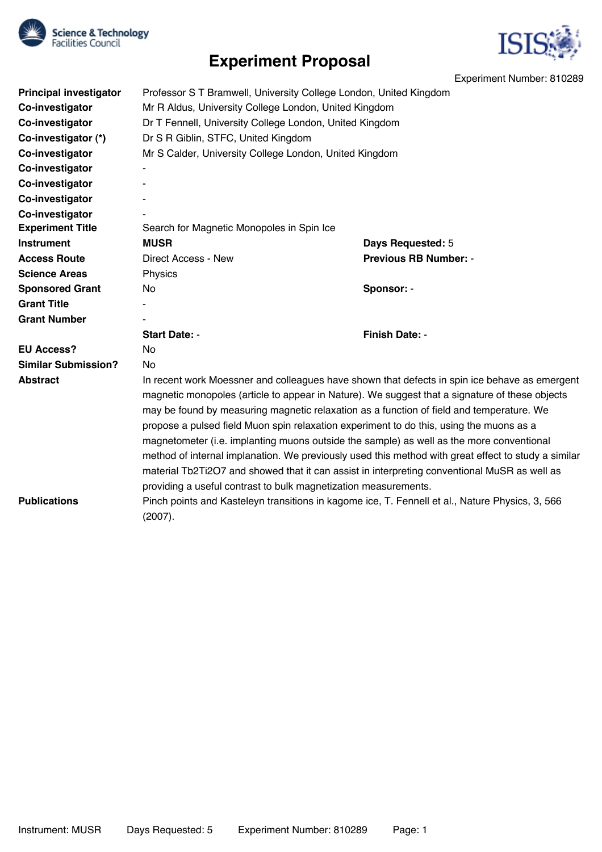

# **Experiment Proposal**



Experiment Number: 810289

| <b>Principal investigator</b> | Professor S T Bramwell, University College London, United Kingdom                                          |                              |  |
|-------------------------------|------------------------------------------------------------------------------------------------------------|------------------------------|--|
| Co-investigator               | Mr R Aldus, University College London, United Kingdom                                                      |                              |  |
| Co-investigator               | Dr T Fennell, University College London, United Kingdom                                                    |                              |  |
| Co-investigator (*)           | Dr S R Giblin, STFC, United Kingdom                                                                        |                              |  |
| Co-investigator               | Mr S Calder, University College London, United Kingdom                                                     |                              |  |
| Co-investigator               |                                                                                                            |                              |  |
| Co-investigator               |                                                                                                            |                              |  |
| Co-investigator               |                                                                                                            |                              |  |
| Co-investigator               |                                                                                                            |                              |  |
| <b>Experiment Title</b>       | Search for Magnetic Monopoles in Spin Ice                                                                  |                              |  |
| <b>Instrument</b>             | <b>MUSR</b>                                                                                                | Days Requested: 5            |  |
| <b>Access Route</b>           | Direct Access - New                                                                                        | <b>Previous RB Number: -</b> |  |
| <b>Science Areas</b>          | Physics                                                                                                    |                              |  |
| <b>Sponsored Grant</b>        | No                                                                                                         | Sponsor: -                   |  |
| <b>Grant Title</b>            |                                                                                                            |                              |  |
| <b>Grant Number</b>           |                                                                                                            |                              |  |
|                               | <b>Start Date: -</b>                                                                                       | <b>Finish Date: -</b>        |  |
| <b>EU Access?</b>             | No                                                                                                         |                              |  |
| <b>Similar Submission?</b>    | No                                                                                                         |                              |  |
| <b>Abstract</b>               | In recent work Moessner and colleagues have shown that defects in spin ice behave as emergent              |                              |  |
|                               | magnetic monopoles (article to appear in Nature). We suggest that a signature of these objects             |                              |  |
|                               | may be found by measuring magnetic relaxation as a function of field and temperature. We                   |                              |  |
|                               | propose a pulsed field Muon spin relaxation experiment to do this, using the muons as a                    |                              |  |
|                               | magnetometer (i.e. implanting muons outside the sample) as well as the more conventional                   |                              |  |
|                               | method of internal implanation. We previously used this method with great effect to study a similar        |                              |  |
|                               | material Tb2Ti2O7 and showed that it can assist in interpreting conventional MuSR as well as               |                              |  |
|                               | providing a useful contrast to bulk magnetization measurements.                                            |                              |  |
| <b>Publications</b>           | Pinch points and Kasteleyn transitions in kagome ice, T. Fennell et al., Nature Physics, 3, 566<br>(2007). |                              |  |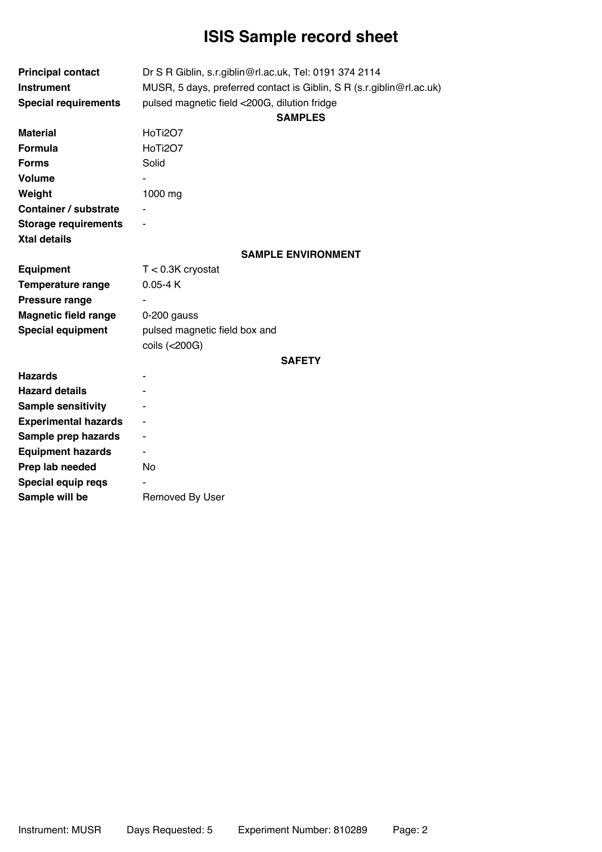# **ISIS Sample record sheet**

| <b>Principal contact</b><br><b>Instrument</b><br><b>Special requirements</b> | Dr S R Giblin, s.r.giblin@rl.ac.uk, Tel: 0191 374 2114<br>MUSR, 5 days, preferred contact is Giblin, S R (s.r.giblin@rl.ac.uk)<br>pulsed magnetic field <200G, dilution fridge<br><b>SAMPLES</b> |
|------------------------------------------------------------------------------|--------------------------------------------------------------------------------------------------------------------------------------------------------------------------------------------------|
| <b>Material</b>                                                              | HoTi2O7                                                                                                                                                                                          |
| <b>Formula</b>                                                               | HoTi2O7                                                                                                                                                                                          |
| <b>Forms</b>                                                                 | Solid                                                                                                                                                                                            |
| Volume                                                                       |                                                                                                                                                                                                  |
| Weight                                                                       | 1000 mg                                                                                                                                                                                          |
| <b>Container / substrate</b>                                                 |                                                                                                                                                                                                  |
| <b>Storage requirements</b>                                                  |                                                                                                                                                                                                  |
| <b>Xtal details</b>                                                          |                                                                                                                                                                                                  |
|                                                                              | <b>SAMPLE ENVIRONMENT</b>                                                                                                                                                                        |
| <b>Equipment</b>                                                             | $T < 0.3K$ cryostat                                                                                                                                                                              |
| <b>Temperature range</b>                                                     | $0.05 - 4K$                                                                                                                                                                                      |
| Pressure range                                                               |                                                                                                                                                                                                  |
| <b>Magnetic field range</b>                                                  | $0-200$ gauss                                                                                                                                                                                    |
| <b>Special equipment</b>                                                     | pulsed magnetic field box and<br>coils (<200G)                                                                                                                                                   |
|                                                                              | <b>SAFETY</b>                                                                                                                                                                                    |
| <b>Hazards</b>                                                               |                                                                                                                                                                                                  |
| <b>Hazard details</b>                                                        |                                                                                                                                                                                                  |
| <b>Sample sensitivity</b>                                                    |                                                                                                                                                                                                  |
| <b>Experimental hazards</b>                                                  |                                                                                                                                                                                                  |
| Sample prep hazards                                                          |                                                                                                                                                                                                  |
| <b>Equipment hazards</b>                                                     | ÷,                                                                                                                                                                                               |
| Prep lab needed                                                              | <b>No</b>                                                                                                                                                                                        |
| Special equip reqs                                                           |                                                                                                                                                                                                  |
| Sample will be                                                               | Removed By User                                                                                                                                                                                  |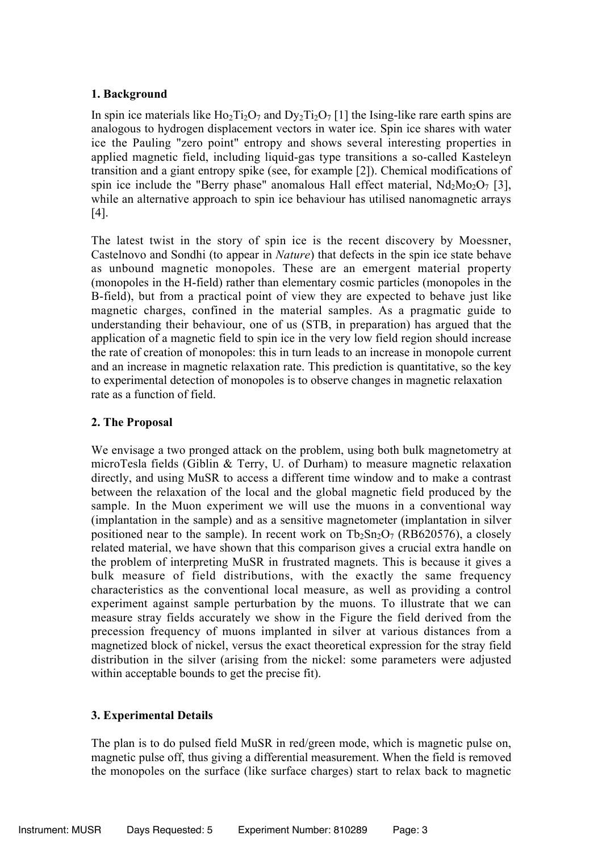#### 1. Background

In spin ice materials like  $Ho_2Ti_2O_7$  and  $Dy_2Ti_2O_7$  [1] the Ising-like rare earth spins are analogous to hydrogen displacement vectors in water ice. Spin ice shares with water ice the Pauling "zero point" entropy and shows several interesting properties in applied magnetic field, including liquid-gas type transitions a so-called Kasteleyn transition and a giant entropy spike (see, for example [2]). Chemical modifications of spin ice include the "Berry phase" anomalous Hall effect material,  $Nd_2Mo_2O_7$  [3], while an alternative approach to spin ice behaviour has utilised nanomagnetic arrays [4].

The latest twist in the story of spin ice is the recent discovery by Moessner, Castelnovo and Sondhi (to appear in *Nature*) that defects in the spin ice state behave as unbound magnetic monopoles. These are an emergent material property (monopoles in the H-field) rather than elementary cosmic particles (monopoles in the B-field), but from a practical point of view they are expected to behave just like magnetic charges, confined in the material samples. As a pragmatic guide to understanding their behaviour, one of us (STB, in preparation) has argued that the application of a magnetic field to spin ice in the very low field region should increase the rate of creation of monopoles: this in turn leads to an increase in monopole current and an increase in magnetic relaxation rate. This prediction is quantitative, so the key to experimental detection of monopoles is to observe changes in magnetic relaxation rate as a function of field.

### 2. The Proposal

We envisage a two pronged attack on the problem, using both bulk magnetometry at microTesla fields (Giblin & Terry, U. of Durham) to measure magnetic relaxation directly, and using MuSR to access a different time window and to make a contrast between the relaxation of the local and the global magnetic field produced by the sample. In the Muon experiment we will use the muons in a conventional way (implantation in the sample) and as a sensitive magnetometer (implantation in silver positioned near to the sample). In recent work on  $Tb_2Sn_2O_7$  (RB620576), a closely related material, we have shown that this comparison gives a crucial extra handle on the problem of interpreting MuSR in frustrated magnets. This is because it gives a bulk measure of field distributions, with the exactly the same frequency characteristics as the conventional local measure, as well as providing a control experiment against sample perturbation by the muons. To illustrate that we can measure stray fields accurately we show in the Figure the field derived from the precession frequency of muons implanted in silver at various distances from a magnetized block of nickel, versus the exact theoretical expression for the stray field distribution in the silver (arising from the nickel: some parameters were adjusted within acceptable bounds to get the precise fit).

### 3. Experimental Details

The plan is to do pulsed field MuSR in red/green mode, which is magnetic pulse on, magnetic pulse off, thus giving a differential measurement. When the field is removed the monopoles on the surface (like surface charges) start to relax back to magnetic